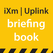# **iXm | Uplink briefing book**

<u> De la Barca</u>

<u>a shekara ta 1999 a shekara ta 1999 a shekara ta 1999 a shekara ta 1999 a shekara ta 1999 a shekara ta 1999 a </u>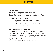# Thank you!

# **Thank you for purchasing the Yellowtec iXm Recording Microphone and iXm Uplink App**

# **Yellowtec iXm: welcome to recording 2.0**

iXm is a broadcast quality recording microphone created by broadcasters for broadcasters. With intuitive operation and robust construction, iXm delivers pristine sound quality without the need to monitor levels or make other adjustments.

# **iXm Uplink: the new App for your iXm**

iXm Uplink is a new recording iOS app for the iXm digital recording microphone. The new app facilitates the uplink of data from the iXm microphone by IOS devices like the iPhone. The iXm Uplink App allows trimming, archiving and several useful features like the use of meta tags. This will be of particular interest to reporters, as it allows them to email recordings directly to the studio after tagging their files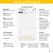# How to use iXm Uplink

**iXm Uplink interface**



10 seconds / jumps back to next marker selected audio

seconds / jumps forward to next marker **PAUSE:** pauses audio, hit again to resume audio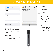# Set Up your iXm Uplink

| ●●○○○ Vodafone.de 4G                                                                                                                           | 15:07 |                   | ●●○○○ Vodafone.de 全         | 15:07  |             |  |  |
|------------------------------------------------------------------------------------------------------------------------------------------------|-------|-------------------|-----------------------------|--------|-------------|--|--|
| ← Einstellungen<br><b>WLAN</b>                                                                                                                 |       |                   | <b>YELLOWTEC</b>            |        |             |  |  |
|                                                                                                                                                |       |                   | <b>IXM</b>                  | MOBILE | <b>MENU</b> |  |  |
| <b>WLAN</b>                                                                                                                                    |       |                   | Remote Connection Available |        |             |  |  |
| 祡<br>iXm_Dirk                                                                                                                                  |       | $\bullet \in (i)$ |                             |        |             |  |  |
| NETZWERK WÄHLEN                                                                                                                                |       |                   |                             |        |             |  |  |
| <b>TMW</b>                                                                                                                                     |       | $a \in (i)$       |                             |        |             |  |  |
| wildgehege                                                                                                                                     |       | $a \in \Omega$    |                             |        |             |  |  |
| Anderes                                                                                                                                        |       |                   |                             |        |             |  |  |
|                                                                                                                                                |       |                   |                             |        |             |  |  |
| Auf Netze hinweisen                                                                                                                            |       |                   |                             |        |             |  |  |
| Bekannte Netzwerke werden automatisch verbunden. Falls<br>kein bekanntes Netzwerk vorhanden ist, müssen Sie manuell<br>ein Netzwerk auswählen. |       |                   | A                           |        | 00:00:00.0  |  |  |
|                                                                                                                                                |       |                   | <b>REW</b>                  | PLAY   | FF          |  |  |
|                                                                                                                                                |       |                   |                             |        |             |  |  |

# **1. Setup your WLAN**

Read the FlashAir™ Briefing Book to setup your wireless SD Card.

### **Please note:**

Scanning process only starts, if WLAN and FlashAir™ SD Card are setup correctly.



 $X_{2n}$ 

# **2. Scanning process starts automatically**

The "scanning..." screen appears.

Files on the SD card can only be updated when a WIFI connection is active.

# **Please note:**

Scanning process only starts, if WLAN and FlashAir™ SD Card are setup correctly.

scanning...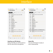# Interface

| <b>IXM</b>         |                             | <b>MOBILE</b>       | MENU                                     | <b>FDIT</b> |
|--------------------|-----------------------------|---------------------|------------------------------------------|-------------|
| IXM Wifi Connected |                             |                     |                                          |             |
| MP <sub>2</sub>    | 2014-12-18                  |                     | Reinhard s Mic iXm serial number 00001   |             |
| MP <sub>2</sub>    | mp2file<br>2014-12-16       |                     |                                          |             |
| MP <sub>2</sub>    | test<br>2014-12-16          |                     |                                          |             |
| MP <sub>2</sub>    | 2014-12-18                  | Aus2mach3           |                                          |             |
| MP <sub>2</sub>    | 2014-12-16                  | 440Hz128kBs         |                                          |             |
| MP <sub>2</sub>    | 2014-12-16                  | MP2-440Hz-128kBs-St |                                          |             |
| MP <sub>2</sub>    | 2014-12-18                  | Aus2Mach3St         |                                          |             |
| MP <sub>2</sub>    | 2014-12-16                  | StereoMP2-320       |                                          |             |
| MP <sub>2</sub>    | 2014-12-16                  | StereoMP3-320       |                                          |             |
| MP <sub>2</sub>    | ClipMP2<br>$2014 - 12 - 16$ |                     |                                          |             |
| <b>BWF</b>         | $2014 - 12 - 18$            |                     | Reinhard s Mic iXm sber 00005 2014-12-18 |             |
| <b>WAV</b>         | $2014 - 12 - 18$            |                     | Reinhard s Mic iXm serial number 00005   |             |
|                    |                             |                     |                                          |             |
|                    |                             |                     |                                          | Volume      |
|                    |                             |                     | 00:00:00.00                              |             |

### **Interface on IOS device**

Notice that files are still located on the SD card of the microphone.

| •••••• Vodafone.de 全             |                                                        |                     | 15:07 |                                        |  |             |
|----------------------------------|--------------------------------------------------------|---------------------|-------|----------------------------------------|--|-------------|
| <b>YELLOWTEC</b>                 |                                                        |                     |       |                                        |  |             |
|                                  |                                                        |                     |       |                                        |  |             |
| <b>IXM</b><br>IXM Wifi Connected |                                                        | <b>MOBILE</b>       |       | MENU                                   |  | <b>EDIT</b> |
| MP <sub>2</sub>                  | 2014-12-16                                             |                     |       | Reinhard s Mic iXm serial number 00001 |  |             |
| MP <sub>2</sub>                  | mp2file<br>2014-12-16                                  |                     |       |                                        |  |             |
| MP <sub>2</sub>                  | test<br>2014-12-16                                     |                     |       |                                        |  |             |
| MP <sub>2</sub>                  | 2014-12-16                                             | Aus2mach3           |       |                                        |  |             |
| MP <sub>2</sub>                  | 2014-12-16                                             | 440Hz128kBs         |       |                                        |  |             |
| MP <sub>2</sub>                  | 2014-12-16                                             | MP2-440Hz-128kBs-St |       |                                        |  |             |
| MP <sub>2</sub>                  | 2014-12-16                                             | Aus2Mach3St         |       |                                        |  |             |
| MP <sub>2</sub>                  | 2014-12-16                                             | StereoMP2-320       |       |                                        |  |             |
| MP <sub>2</sub>                  | 2014-12-16                                             | StereoMP3-320       |       |                                        |  |             |
| MP <sub>2</sub>                  | ClipMP2<br>2014-12-16                                  |                     |       |                                        |  |             |
| <b>RWF</b>                       | Reinhard s Mic iXm sber 00005 2014-12-18<br>2014-12-18 |                     |       |                                        |  |             |
| WAV                              | 2014-12-18                                             |                     |       | Reinhard s Mic iXm serial number 00005 |  |             |
|                                  |                                                        |                     |       |                                        |  |             |
|                                  |                                                        |                     |       |                                        |  | Volume      |
| 00:00:00.00                      |                                                        |                     |       |                                        |  |             |
| Δ                                |                                                        |                     |       |                                        |  | duration    |
| <b>REW</b>                       |                                                        | PLAY                |       | FF                                     |  | STOP        |

# **Select file**

Use your IOS device to play or save a selected file.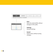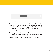

**Please note:** in order to use the transmission function the WIFI connection to iXm must be disconnected, otherwise no Internet connection can be established. Simply turn off the iXm microphone (press both STOP buttons on front- and backsided keyboard simultaneously).

Depending on the settings of your IOS device and the local conditions (surrounding wireless networks) your IOS device should establish an internet connection automatically via WLAN or WWAN. If necessary check the connections in the settings or the "status bar" of the device.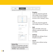| <b>IXM</b>                  | <b>MOBILE</b>                                                                                                                                                                  | <b>MENU</b> | <b>EDIT</b>                                                                                                           |  |
|-----------------------------|--------------------------------------------------------------------------------------------------------------------------------------------------------------------------------|-------------|-----------------------------------------------------------------------------------------------------------------------|--|
| Remote Connection Available |                                                                                                                                                                                |             |                                                                                                                       |  |
|                             | Menu<br>please select<br><b>Dropbox</b><br><b>FTP</b><br>Mail                                                                                                                  |             | <b>Dropbox</b><br>Loads the selected au<br>into a folder of your D<br>account. Select the D<br>account in the "Settir |  |
|                             | Settings<br>Cancel<br>16.90<br><b>Dim Audio File</b><br>Abbrechen                                                                                                              |             | <b>FTP</b><br>Loads the selected au<br>into a folder of your F                                                        |  |
| Arr.                        | $\circ$<br>Kreinflüstkanis, Vor ziegestaarlichummate de<br>Betroff: Dim Audio File<br>Sent from <i>Dim Agg</i><br>٠<br>Reinhard, a., 4-12-18, Jan<br>Von meinem Phone gesendet |             | Mail<br>Opens IOS MAIL clien<br>attaches selected aud<br>an E-Mail.                                                   |  |
|                             | Vodatone de T<br>Settings<br>Dropbox Clear Link Create Link<br>FTP to sever<br>oasseged                                                                                        |             | <b>Settings</b><br>Manages the settings<br>Dropbox account.                                                           |  |
|                             | EXIT                                                                                                                                                                           |             | Cancel<br>Closse monuumithout                                                                                         |  |

Swipe a selected file to the left to delete it (only possible when "MOBILE" tab is selected).

edio file Iropbox ropbox . .<br>ngs" menu.

Jdio file **TP Server.** 

nt and atio file to

of your

Closes menu without saving changes. **Delete files**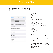# Edit your files

# **Audio files meta-data and compression**

(Interface appears when audio file is selected)



**File type** Type of audio file

**CM . wav** non-compressed WAVE format

**MPEG .bwf** MPEG1 Layer 2 (mp2) compressed broadcast-format with meta-data

**.mp2** MPEG1 Layer2 (mp2) compressed format

**Title** Filename of selected audio file

Editable meta-data of broadcast formats:

**Description:** 255 characters of free text **Originator:** 32 characters of free text **CC:** Country Code **OOO:** Organisation Code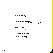### **Official iXm website:**

www.yellowtec.com/ixm

### **iXm Firmware and Downloads:**

www.yellowtec.com/downloads/ixm-recording-microphone

**Yellowtec Products:** www.yellowtec.com/products

# **Follow us on Social Media:**

www.facebook.com/yellowtec www.twitter.com/yellowtec www.google.com/+yellowtec